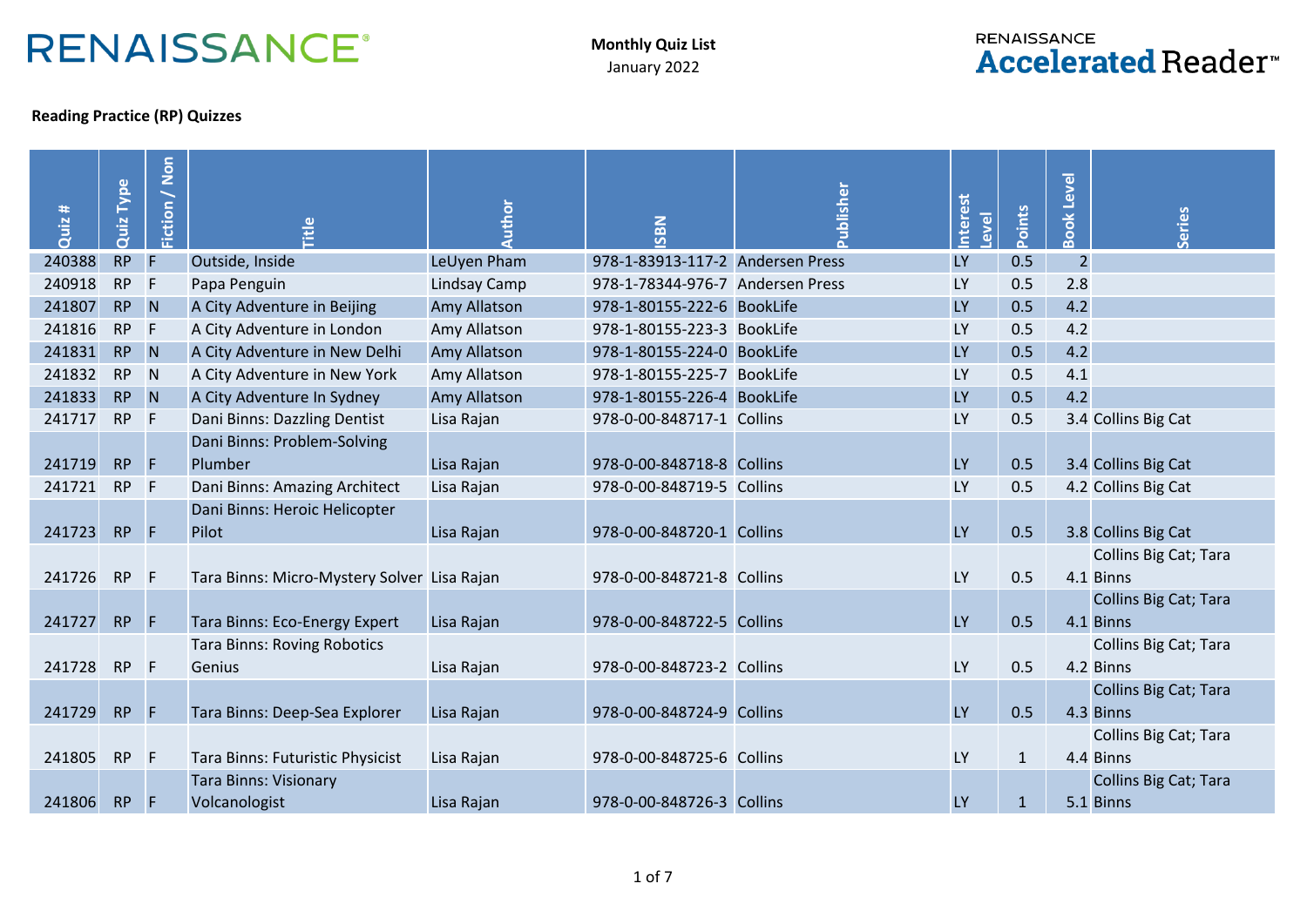## **RENAISSANCE®**

**Monthly Quiz List** January 2022

## **RENAISSANCE Accelerated Reader**<sup>™</sup>

## **Reading Practice (RP) Quizzes**

| Quiz # | Type<br>Quiz | Fiction / Non | itle                                          | Author       | SBN                              | ublisher | nterest<br>evel | Points       | Level<br>ook   | eries                                     |
|--------|--------------|---------------|-----------------------------------------------|--------------|----------------------------------|----------|-----------------|--------------|----------------|-------------------------------------------|
| 240388 | <b>RP</b>    | F             | Outside, Inside                               | LeUyen Pham  | 978-1-83913-117-2 Andersen Press |          | <b>LY</b>       | 0.5          | $\overline{2}$ |                                           |
| 240918 | <b>RP</b>    | F             | Papa Penguin                                  | Lindsay Camp | 978-1-78344-976-7 Andersen Press |          | <b>LY</b>       | 0.5          | 2.8            |                                           |
| 241807 | <b>RP</b>    | N             | A City Adventure in Beijing                   | Amy Allatson | 978-1-80155-222-6 BookLife       |          | <b>LY</b>       | 0.5          | 4.2            |                                           |
| 241816 | <b>RP</b>    | $\mathsf{F}$  | A City Adventure in London                    | Amy Allatson | 978-1-80155-223-3 BookLife       |          | <b>LY</b>       | 0.5          | 4.2            |                                           |
| 241831 | <b>RP</b>    | N             | A City Adventure in New Delhi                 | Amy Allatson | 978-1-80155-224-0 BookLife       |          | <b>LY</b>       | 0.5          | 4.2            |                                           |
| 241832 | <b>RP</b>    | N             | A City Adventure in New York                  | Amy Allatson | 978-1-80155-225-7 BookLife       |          | <b>LY</b>       | 0.5          | 4.1            |                                           |
| 241833 | <b>RP</b>    | N             | A City Adventure In Sydney                    | Amy Allatson | 978-1-80155-226-4 BookLife       |          | <b>LY</b>       | 0.5          | 4.2            |                                           |
| 241717 | <b>RP</b>    | F             | Dani Binns: Dazzling Dentist                  | Lisa Rajan   | 978-0-00-848717-1 Collins        |          | LY              | 0.5          |                | 3.4 Collins Big Cat                       |
| 241719 | <b>RP</b>    | F             | Dani Binns: Problem-Solving<br>Plumber        | Lisa Rajan   | 978-0-00-848718-8 Collins        |          | <b>LY</b>       | 0.5          |                | 3.4 Collins Big Cat                       |
| 241721 | <b>RP</b>    | $\mathsf{F}$  | Dani Binns: Amazing Architect                 | Lisa Rajan   | 978-0-00-848719-5 Collins        |          | LY              | 0.5          |                | 4.2 Collins Big Cat                       |
| 241723 | <b>RP</b>    | F             | Dani Binns: Heroic Helicopter<br>Pilot        | Lisa Rajan   | 978-0-00-848720-1 Collins        |          | <b>LY</b>       | 0.5          |                | 3.8 Collins Big Cat                       |
| 241726 | <b>RP</b>    | F             | Tara Binns: Micro-Mystery Solver Lisa Rajan   |              | 978-0-00-848721-8 Collins        |          | LY              | 0.5          |                | Collins Big Cat; Tara<br>4.1 Binns        |
| 241727 | <b>RP</b>    | F             | Tara Binns: Eco-Energy Expert                 | Lisa Rajan   | 978-0-00-848722-5 Collins        |          | <b>LY</b>       | 0.5          |                | <b>Collins Big Cat; Tara</b><br>4.1 Binns |
| 241728 | <b>RP</b>    | F             | <b>Tara Binns: Roving Robotics</b><br>Genius  | Lisa Rajan   | 978-0-00-848723-2 Collins        |          | LY              | 0.5          |                | Collins Big Cat; Tara<br>4.2 Binns        |
| 241729 | <b>RP</b>    | F             | Tara Binns: Deep-Sea Explorer                 | Lisa Rajan   | 978-0-00-848724-9 Collins        |          | <b>LY</b>       | 0.5          |                | <b>Collins Big Cat; Tara</b><br>4.3 Binns |
| 241805 | <b>RP</b>    | F             | Tara Binns: Futuristic Physicist              | Lisa Rajan   | 978-0-00-848725-6 Collins        |          | <b>LY</b>       | $\mathbf{1}$ |                | Collins Big Cat; Tara<br>4.4 Binns        |
| 241806 | <b>RP</b>    | F             | <b>Tara Binns: Visionary</b><br>Volcanologist | Lisa Rajan   | 978-0-00-848726-3 Collins        |          | <b>LY</b>       | $\mathbf{1}$ |                | <b>Collins Big Cat; Tara</b><br>5.1 Binns |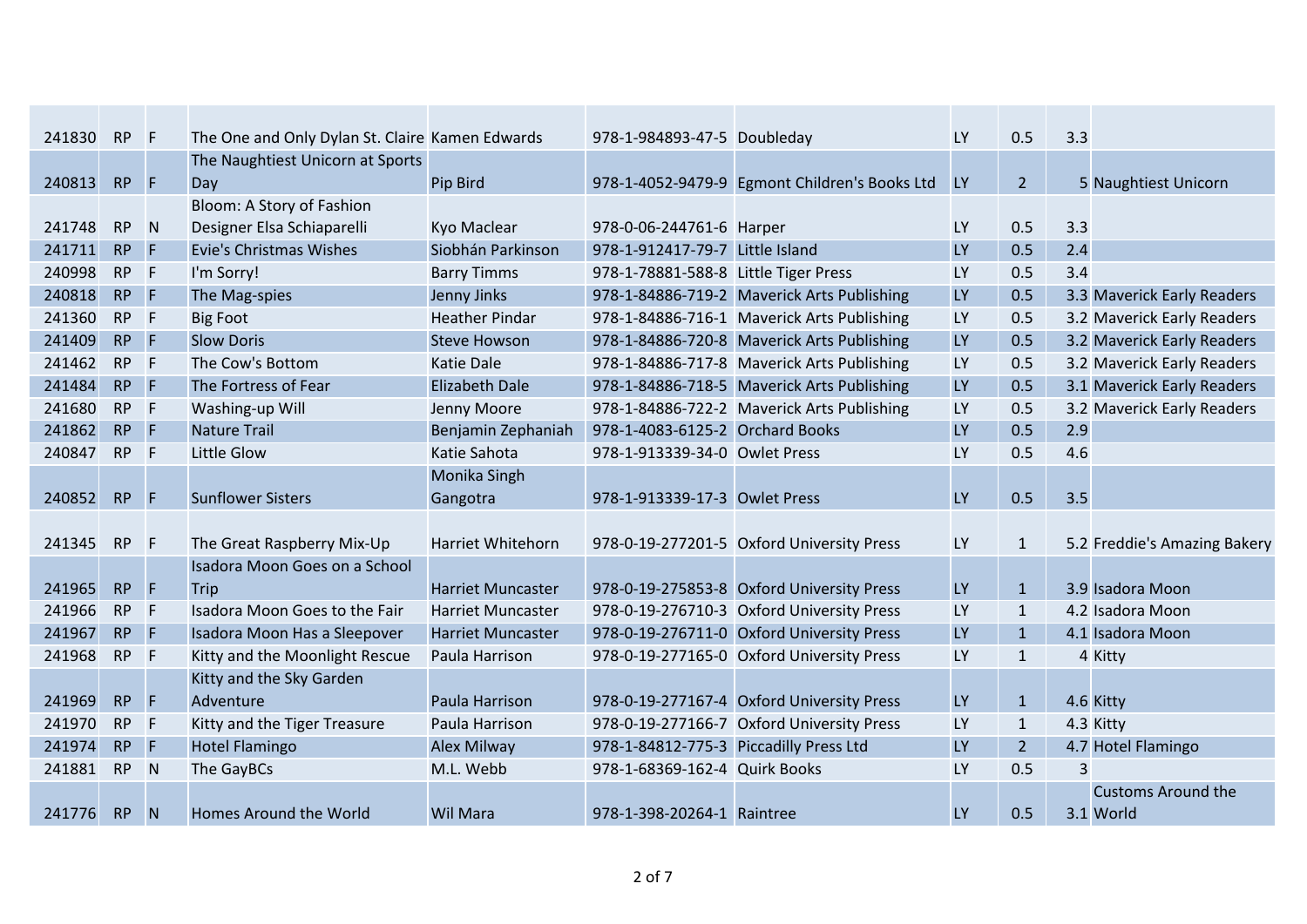| 241830 | <b>RP</b> | - F            | The One and Only Dylan St. Claire Kamen Edwards |                          | 978-1-984893-47-5 Doubleday            |                                               | <b>LY</b> | 0.5            | 3.3            |                              |
|--------|-----------|----------------|-------------------------------------------------|--------------------------|----------------------------------------|-----------------------------------------------|-----------|----------------|----------------|------------------------------|
|        |           |                | The Naughtiest Unicorn at Sports                |                          |                                        |                                               |           |                |                |                              |
| 240813 | <b>RP</b> | $\overline{F}$ | Day                                             | Pip Bird                 |                                        | 978-1-4052-9479-9 Egmont Children's Books Ltd | <b>LY</b> | $\overline{2}$ |                | 5 Naughtiest Unicorn         |
|        |           |                | Bloom: A Story of Fashion                       |                          |                                        |                                               |           |                |                |                              |
| 241748 | <b>RP</b> | N              | Designer Elsa Schiaparelli                      | Kyo Maclear              | 978-0-06-244761-6 Harper               |                                               | <b>LY</b> | 0.5            | 3.3            |                              |
| 241711 | <b>RP</b> | F              | <b>Evie's Christmas Wishes</b>                  | Siobhán Parkinson        | 978-1-912417-79-7 Little Island        |                                               | LY        | 0.5            | 2.4            |                              |
| 240998 | <b>RP</b> | F              | I'm Sorry!                                      | <b>Barry Timms</b>       | 978-1-78881-588-8 Little Tiger Press   |                                               | LY        | 0.5            | 3.4            |                              |
| 240818 | <b>RP</b> | <b>F</b>       | The Mag-spies                                   | Jenny Jinks              |                                        | 978-1-84886-719-2 Maverick Arts Publishing    | <b>LY</b> | 0.5            |                | 3.3 Maverick Early Readers   |
| 241360 | <b>RP</b> | F              | <b>Big Foot</b>                                 | <b>Heather Pindar</b>    |                                        | 978-1-84886-716-1 Maverick Arts Publishing    | <b>LY</b> | 0.5            |                | 3.2 Maverick Early Readers   |
| 241409 | <b>RP</b> | F              | <b>Slow Doris</b>                               | <b>Steve Howson</b>      |                                        | 978-1-84886-720-8 Maverick Arts Publishing    | <b>LY</b> | 0.5            |                | 3.2 Maverick Early Readers   |
| 241462 | <b>RP</b> | F              | The Cow's Bottom                                | <b>Katie Dale</b>        |                                        | 978-1-84886-717-8 Maverick Arts Publishing    | LY        | 0.5            |                | 3.2 Maverick Early Readers   |
| 241484 | <b>RP</b> | E              | The Fortress of Fear                            | <b>Elizabeth Dale</b>    |                                        | 978-1-84886-718-5 Maverick Arts Publishing    | LY        | 0.5            |                | 3.1 Maverick Early Readers   |
| 241680 | <b>RP</b> | F              | Washing-up Will                                 | Jenny Moore              |                                        | 978-1-84886-722-2 Maverick Arts Publishing    | LY        | 0.5            |                | 3.2 Maverick Early Readers   |
| 241862 | <b>RP</b> | F              | <b>Nature Trail</b>                             | Benjamin Zephaniah       | 978-1-4083-6125-2 Orchard Books        |                                               | <b>LY</b> | 0.5            | 2.9            |                              |
| 240847 | <b>RP</b> | F              | Little Glow                                     | Katie Sahota             | 978-1-913339-34-0 Owlet Press          |                                               | LY        | 0.5            | 4.6            |                              |
|        |           |                |                                                 | Monika Singh             |                                        |                                               |           |                |                |                              |
| 240852 | <b>RP</b> | F              | <b>Sunflower Sisters</b>                        | Gangotra                 | 978-1-913339-17-3 Owlet Press          |                                               | <b>LY</b> | 0.5            | 3.5            |                              |
|        |           |                |                                                 |                          |                                        |                                               |           |                |                |                              |
| 241345 | <b>RP</b> | -F             | The Great Raspberry Mix-Up                      | <b>Harriet Whitehorn</b> |                                        | 978-0-19-277201-5 Oxford University Press     | LY        | $\mathbf{1}$   |                | 5.2 Freddie's Amazing Bakery |
|        |           |                | Isadora Moon Goes on a School                   |                          |                                        |                                               |           |                |                |                              |
| 241965 | <b>RP</b> | F              | Trip                                            | <b>Harriet Muncaster</b> |                                        | 978-0-19-275853-8 Oxford University Press     | LY        | $\mathbf{1}$   |                | 3.9 Isadora Moon             |
| 241966 | <b>RP</b> | F              | Isadora Moon Goes to the Fair                   | <b>Harriet Muncaster</b> |                                        | 978-0-19-276710-3 Oxford University Press     | LY        | $\mathbf{1}$   |                | 4.2 Isadora Moon             |
| 241967 | <b>RP</b> | F              | Isadora Moon Has a Sleepover                    | <b>Harriet Muncaster</b> |                                        | 978-0-19-276711-0 Oxford University Press     | LY        | $\mathbf{1}$   |                | 4.1 Isadora Moon             |
| 241968 | <b>RP</b> | F              | Kitty and the Moonlight Rescue                  | Paula Harrison           |                                        | 978-0-19-277165-0 Oxford University Press     | LY        | $\mathbf{1}$   |                | 4 Kitty                      |
|        |           |                | Kitty and the Sky Garden                        |                          |                                        |                                               |           |                |                |                              |
| 241969 | <b>RP</b> | F              | Adventure                                       | Paula Harrison           |                                        | 978-0-19-277167-4 Oxford University Press     | <b>LY</b> | $\mathbf{1}$   |                | 4.6 Kitty                    |
| 241970 | <b>RP</b> | F              | Kitty and the Tiger Treasure                    | Paula Harrison           |                                        | 978-0-19-277166-7 Oxford University Press     | LY        | $\mathbf{1}$   |                | 4.3 Kitty                    |
| 241974 | <b>RP</b> | F              | <b>Hotel Flamingo</b>                           | <b>Alex Milway</b>       | 978-1-84812-775-3 Piccadilly Press Ltd |                                               | LY        | $\overline{2}$ |                | 4.7 Hotel Flamingo           |
| 241881 | <b>RP</b> | N              | The GayBCs                                      | M.L. Webb                | 978-1-68369-162-4 Quirk Books          |                                               | LY        | 0.5            | $\overline{3}$ |                              |
|        |           |                |                                                 |                          |                                        |                                               |           |                |                | <b>Customs Around the</b>    |
| 241776 | <b>RP</b> | N              | Homes Around the World                          | <b>Wil Mara</b>          | 978-1-398-20264-1 Raintree             |                                               | LY        | 0.5            |                | 3.1 World                    |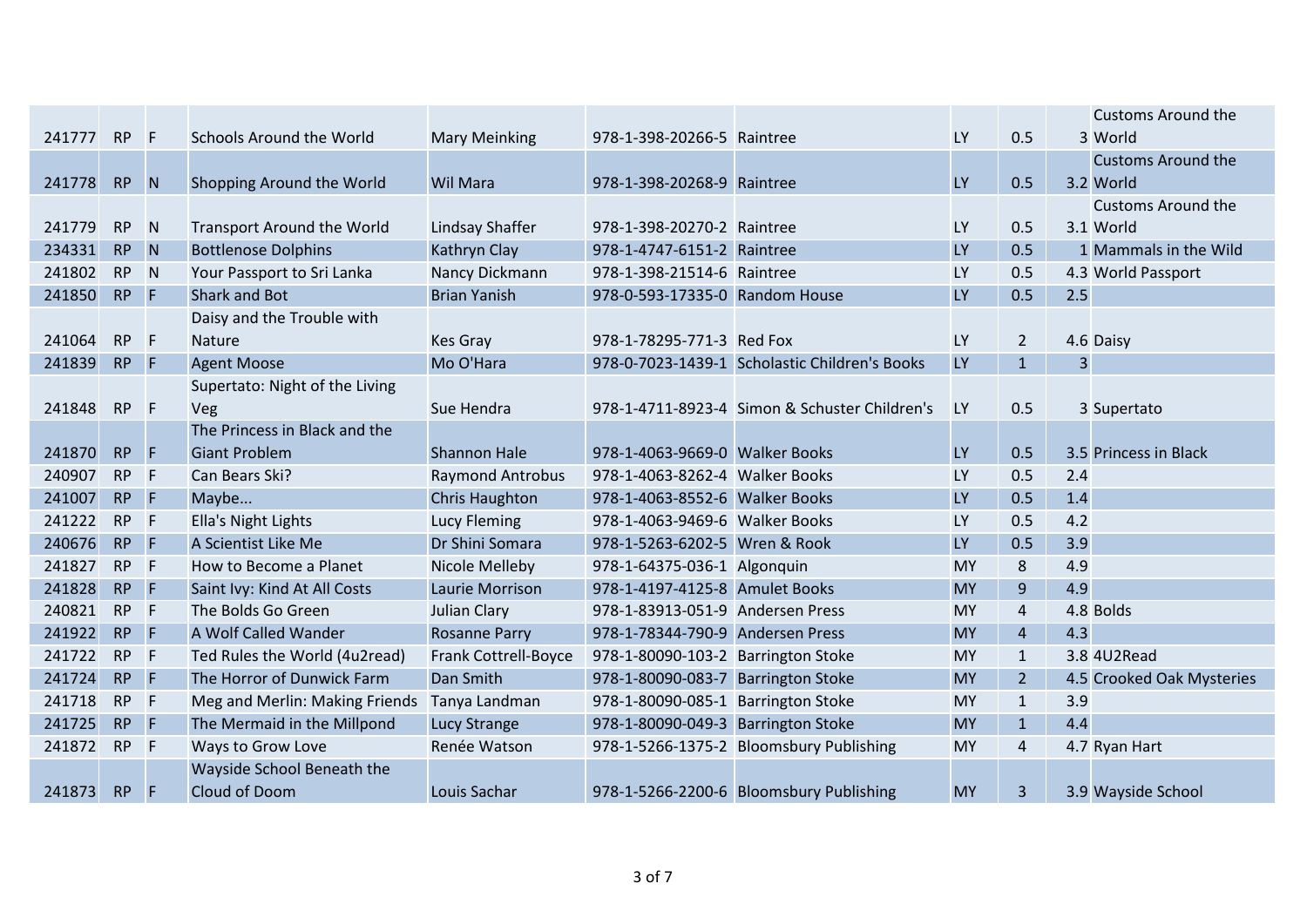|        |           |                |                                   |                         |                                    |                                               |           |                         |     | <b>Customs Around the</b> |
|--------|-----------|----------------|-----------------------------------|-------------------------|------------------------------------|-----------------------------------------------|-----------|-------------------------|-----|---------------------------|
| 241777 | <b>RP</b> | F              | <b>Schools Around the World</b>   | <b>Mary Meinking</b>    | 978-1-398-20266-5 Raintree         |                                               | <b>LY</b> | 0.5                     |     | 3 World                   |
|        |           |                |                                   |                         |                                    |                                               |           |                         |     | <b>Customs Around the</b> |
| 241778 | RP        | N              | Shopping Around the World         | <b>Wil Mara</b>         | 978-1-398-20268-9 Raintree         |                                               | LY        | 0.5                     |     | 3.2 World                 |
|        |           |                |                                   |                         |                                    |                                               |           |                         |     | <b>Customs Around the</b> |
| 241779 | <b>RP</b> | N              | <b>Transport Around the World</b> | Lindsay Shaffer         | 978-1-398-20270-2 Raintree         |                                               | LY        | 0.5                     |     | 3.1 World                 |
| 234331 | <b>RP</b> | N              | <b>Bottlenose Dolphins</b>        | Kathryn Clay            | 978-1-4747-6151-2 Raintree         |                                               | LY        | 0.5                     |     | 1 Mammals in the Wild     |
| 241802 | <b>RP</b> | N              | Your Passport to Sri Lanka        | Nancy Dickmann          | 978-1-398-21514-6 Raintree         |                                               | LY        | 0.5                     |     | 4.3 World Passport        |
| 241850 | <b>RP</b> | F              | <b>Shark and Bot</b>              | <b>Brian Yanish</b>     | 978-0-593-17335-0 Random House     |                                               | LY        | 0.5                     | 2.5 |                           |
|        |           |                | Daisy and the Trouble with        |                         |                                    |                                               |           |                         |     |                           |
| 241064 | <b>RP</b> | F              | <b>Nature</b>                     | Kes Gray                | 978-1-78295-771-3 Red Fox          |                                               | LY        | $\overline{2}$          |     | 4.6 Daisy                 |
| 241839 | <b>RP</b> | $\overline{F}$ | <b>Agent Moose</b>                | Mo O'Hara               |                                    | 978-0-7023-1439-1 Scholastic Children's Books | LY        | $\mathbf{1}$            | 3   |                           |
|        |           |                | Supertato: Night of the Living    |                         |                                    |                                               |           |                         |     |                           |
| 241848 | RP        | $-F$           | Veg                               | Sue Hendra              |                                    | 978-1-4711-8923-4 Simon & Schuster Children's | <b>LY</b> | 0.5                     |     | 3 Supertato               |
|        |           |                | The Princess in Black and the     |                         |                                    |                                               |           |                         |     |                           |
| 241870 | <b>RP</b> | Æ              | <b>Giant Problem</b>              | <b>Shannon Hale</b>     | 978-1-4063-9669-0 Walker Books     |                                               | <b>LY</b> | 0.5                     |     | 3.5 Princess in Black     |
| 240907 | <b>RP</b> | $-F$           | Can Bears Ski?                    | <b>Raymond Antrobus</b> | 978-1-4063-8262-4 Walker Books     |                                               | LY        | 0.5                     | 2.4 |                           |
| 241007 | <b>RP</b> | $-$ F          | Maybe                             | <b>Chris Haughton</b>   | 978-1-4063-8552-6 Walker Books     |                                               | <b>LY</b> | 0.5                     | 1.4 |                           |
| 241222 | <b>RP</b> | $\mathsf{F}$   | Ella's Night Lights               | <b>Lucy Fleming</b>     | 978-1-4063-9469-6 Walker Books     |                                               | LY        | 0.5                     | 4.2 |                           |
| 240676 | <b>RP</b> | $\overline{F}$ | A Scientist Like Me               | Dr Shini Somara         | 978-1-5263-6202-5 Wren & Rook      |                                               | LY        | 0.5                     | 3.9 |                           |
| 241827 | <b>RP</b> | $-F$           | How to Become a Planet            | Nicole Melleby          | 978-1-64375-036-1 Algonquin        |                                               | <b>MY</b> | $\bf 8$                 | 4.9 |                           |
| 241828 | <b>RP</b> | F              | Saint Ivy: Kind At All Costs      | Laurie Morrison         | 978-1-4197-4125-8 Amulet Books     |                                               | <b>MY</b> | $9$                     | 4.9 |                           |
| 240821 | <b>RP</b> | $\mathsf{F}$   | The Bolds Go Green                | <b>Julian Clary</b>     | 978-1-83913-051-9 Andersen Press   |                                               | <b>MY</b> | 4                       |     | 4.8 Bolds                 |
| 241922 | <b>RP</b> | $\overline{F}$ | A Wolf Called Wander              | <b>Rosanne Parry</b>    | 978-1-78344-790-9 Andersen Press   |                                               | <b>MY</b> | $\overline{4}$          | 4.3 |                           |
| 241722 | <b>RP</b> | $-F$           | Ted Rules the World (4u2read)     | Frank Cottrell-Boyce    | 978-1-80090-103-2 Barrington Stoke |                                               | <b>MY</b> | $\mathbf{1}$            |     | 3.8 4U2Read               |
| 241724 | <b>RP</b> | $-$ F          | The Horror of Dunwick Farm        | Dan Smith               | 978-1-80090-083-7 Barrington Stoke |                                               | <b>MY</b> | $\overline{2}$          |     | 4.5 Crooked Oak Mysteries |
| 241718 | <b>RP</b> | F              | Meg and Merlin: Making Friends    | Tanya Landman           | 978-1-80090-085-1 Barrington Stoke |                                               | <b>MY</b> | $\mathbf{1}$            | 3.9 |                           |
| 241725 | <b>RP</b> | F              | The Mermaid in the Millpond       | <b>Lucy Strange</b>     | 978-1-80090-049-3 Barrington Stoke |                                               | <b>MY</b> | $\mathbf{1}$            | 4.4 |                           |
| 241872 | <b>RP</b> | $\mathsf{F}$   | Ways to Grow Love                 | Renée Watson            |                                    | 978-1-5266-1375-2 Bloomsbury Publishing       | <b>MY</b> | $\overline{\mathbf{4}}$ |     | 4.7 Ryan Hart             |
|        |           |                | Wayside School Beneath the        |                         |                                    |                                               |           |                         |     |                           |
| 241873 | <b>RP</b> | IF.            | Cloud of Doom                     | Louis Sachar            |                                    | 978-1-5266-2200-6 Bloomsbury Publishing       | <b>MY</b> | 3                       |     | 3.9 Wayside School        |
|        |           |                |                                   |                         |                                    |                                               |           |                         |     |                           |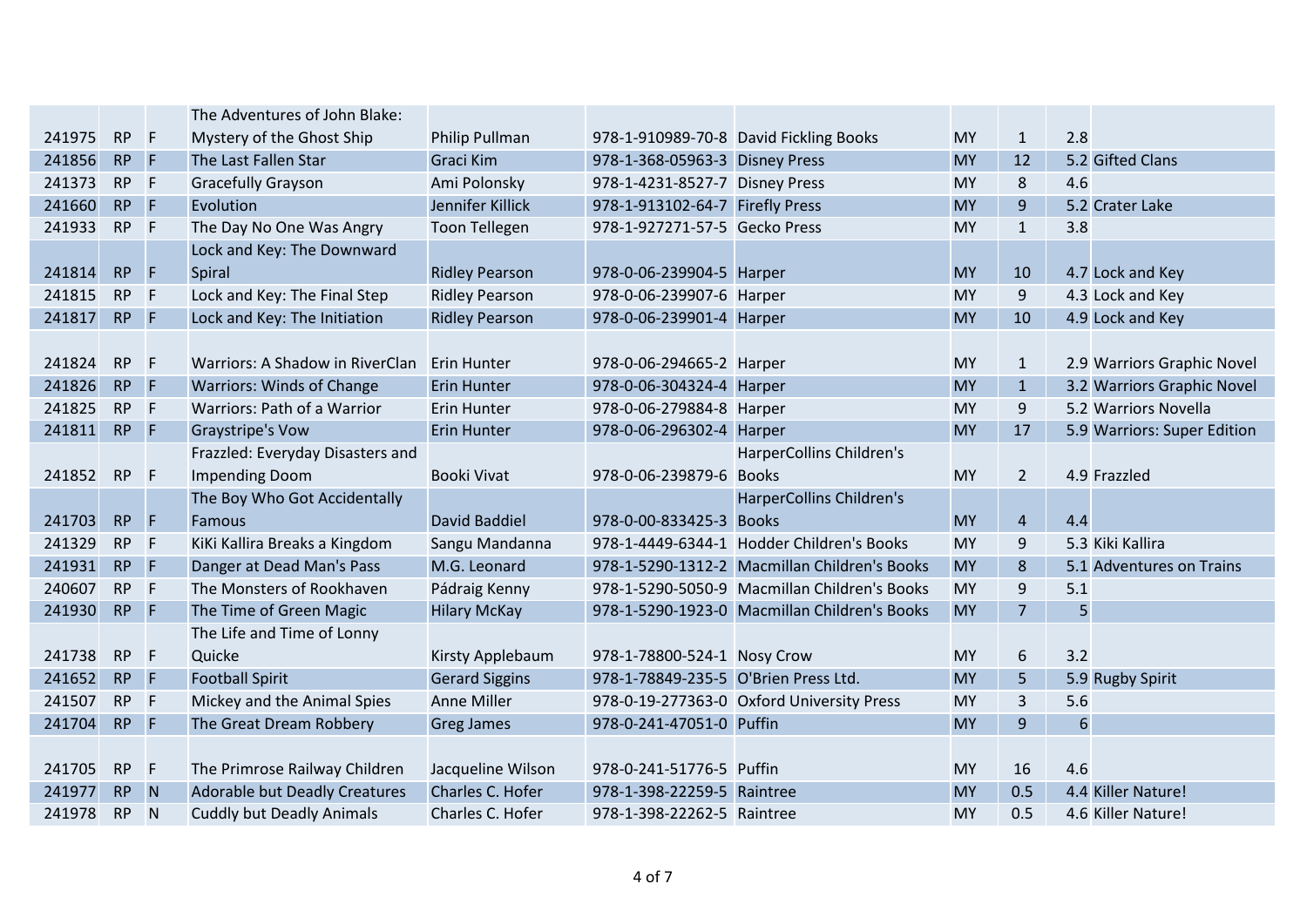|        |           |              | The Adventures of John Blake:        |                       |                                      |                                              |           |                |                             |
|--------|-----------|--------------|--------------------------------------|-----------------------|--------------------------------------|----------------------------------------------|-----------|----------------|-----------------------------|
| 241975 | <b>RP</b> | F            | Mystery of the Ghost Ship            | Philip Pullman        |                                      | 978-1-910989-70-8 David Fickling Books       | <b>MY</b> | $\mathbf{1}$   | 2.8                         |
| 241856 | <b>RP</b> | F            | The Last Fallen Star                 | Graci Kim             | 978-1-368-05963-3 Disney Press       |                                              | <b>MY</b> | 12             | 5.2 Gifted Clans            |
| 241373 | <b>RP</b> | $\mathsf{F}$ | <b>Gracefully Grayson</b>            | Ami Polonsky          | 978-1-4231-8527-7 Disney Press       |                                              | <b>MY</b> | $\bf 8$        | 4.6                         |
| 241660 | <b>RP</b> | <b>F</b>     | Evolution                            | Jennifer Killick      | 978-1-913102-64-7 Firefly Press      |                                              | <b>MY</b> | 9              | 5.2 Crater Lake             |
| 241933 | <b>RP</b> | F            | The Day No One Was Angry             | <b>Toon Tellegen</b>  | 978-1-927271-57-5 Gecko Press        |                                              | <b>MY</b> | $\mathbf{1}$   | 3.8                         |
|        |           |              | Lock and Key: The Downward           |                       |                                      |                                              |           |                |                             |
| 241814 | <b>RP</b> | F            | Spiral                               | <b>Ridley Pearson</b> | 978-0-06-239904-5 Harper             |                                              | <b>MY</b> | 10             | 4.7 Lock and Key            |
| 241815 | <b>RP</b> | <b>F</b>     | Lock and Key: The Final Step         | <b>Ridley Pearson</b> | 978-0-06-239907-6 Harper             |                                              | <b>MY</b> | 9              | 4.3 Lock and Key            |
| 241817 | <b>RP</b> | $\mathsf{F}$ | Lock and Key: The Initiation         | <b>Ridley Pearson</b> | 978-0-06-239901-4 Harper             |                                              | <b>MY</b> | 10             | 4.9 Lock and Key            |
|        |           |              |                                      |                       |                                      |                                              |           |                |                             |
| 241824 | <b>RP</b> | F            | Warriors: A Shadow in RiverClan      | <b>Erin Hunter</b>    | 978-0-06-294665-2 Harper             |                                              | <b>MY</b> | $\mathbf{1}$   | 2.9 Warriors Graphic Novel  |
| 241826 | <b>RP</b> | $\mathsf{F}$ | <b>Warriors: Winds of Change</b>     | <b>Erin Hunter</b>    | 978-0-06-304324-4 Harper             |                                              | <b>MY</b> | $\mathbf{1}$   | 3.2 Warriors Graphic Novel  |
| 241825 | <b>RP</b> | F            | Warriors: Path of a Warrior          | Erin Hunter           | 978-0-06-279884-8 Harper             |                                              | <b>MY</b> | 9              | 5.2 Warriors Novella        |
| 241811 | <b>RP</b> | 4P           | <b>Graystripe's Vow</b>              | <b>Erin Hunter</b>    | 978-0-06-296302-4 Harper             |                                              | <b>MY</b> | 17             | 5.9 Warriors: Super Edition |
|        |           |              | Frazzled: Everyday Disasters and     |                       |                                      | <b>HarperCollins Children's</b>              |           |                |                             |
| 241852 | <b>RP</b> | F            | <b>Impending Doom</b>                | <b>Booki Vivat</b>    | 978-0-06-239879-6 Books              |                                              | <b>MY</b> | $\overline{2}$ | 4.9 Frazzled                |
|        |           |              | The Boy Who Got Accidentally         |                       |                                      | <b>HarperCollins Children's</b>              |           |                |                             |
| 241703 | <b>RP</b> | F            | Famous                               | <b>David Baddiel</b>  | 978-0-00-833425-3 Books              |                                              | <b>MY</b> | $\overline{4}$ | 4.4                         |
| 241329 | <b>RP</b> | F            | KiKi Kallira Breaks a Kingdom        | Sangu Mandanna        |                                      | 978-1-4449-6344-1 Hodder Children's Books    | <b>MY</b> | 9              | 5.3 Kiki Kallira            |
| 241931 | <b>RP</b> | F            | Danger at Dead Man's Pass            | M.G. Leonard          |                                      | 978-1-5290-1312-2 Macmillan Children's Books | <b>MY</b> | 8              | 5.1 Adventures on Trains    |
| 240607 | <b>RP</b> | -F           | The Monsters of Rookhaven            | Pádraig Kenny         |                                      | 978-1-5290-5050-9 Macmillan Children's Books | <b>MY</b> | 9              | 5.1                         |
| 241930 | RP F      |              | The Time of Green Magic              | <b>Hilary McKay</b>   |                                      | 978-1-5290-1923-0 Macmillan Children's Books | <b>MY</b> | $\overline{7}$ | 5                           |
|        |           |              | The Life and Time of Lonny           |                       |                                      |                                              |           |                |                             |
| 241738 | <b>RP</b> | F            | Quicke                               | Kirsty Applebaum      | 978-1-78800-524-1 Nosy Crow          |                                              | <b>MY</b> | 6              | 3.2                         |
| 241652 | <b>RP</b> | F            | <b>Football Spirit</b>               | <b>Gerard Siggins</b> | 978-1-78849-235-5 O'Brien Press Ltd. |                                              | <b>MY</b> | 5              | 5.9 Rugby Spirit            |
| 241507 | <b>RP</b> | F            | Mickey and the Animal Spies          | Anne Miller           |                                      | 978-0-19-277363-0 Oxford University Press    | <b>MY</b> | 3              | 5.6                         |
| 241704 | <b>RP</b> | $\mathsf{F}$ | The Great Dream Robbery              | <b>Greg James</b>     | 978-0-241-47051-0 Puffin             |                                              | <b>MY</b> | 9              | 6                           |
|        |           |              |                                      |                       |                                      |                                              |           |                |                             |
| 241705 | <b>RP</b> | F            | The Primrose Railway Children        | Jacqueline Wilson     | 978-0-241-51776-5 Puffin             |                                              | <b>MY</b> | 16             | 4.6                         |
| 241977 | <b>RP</b> | N            | <b>Adorable but Deadly Creatures</b> | Charles C. Hofer      | 978-1-398-22259-5 Raintree           |                                              | <b>MY</b> | 0.5            | 4.4 Killer Nature!          |
| 241978 | <b>RP</b> | N            | <b>Cuddly but Deadly Animals</b>     | Charles C. Hofer      | 978-1-398-22262-5 Raintree           |                                              | <b>MY</b> | 0.5            | 4.6 Killer Nature!          |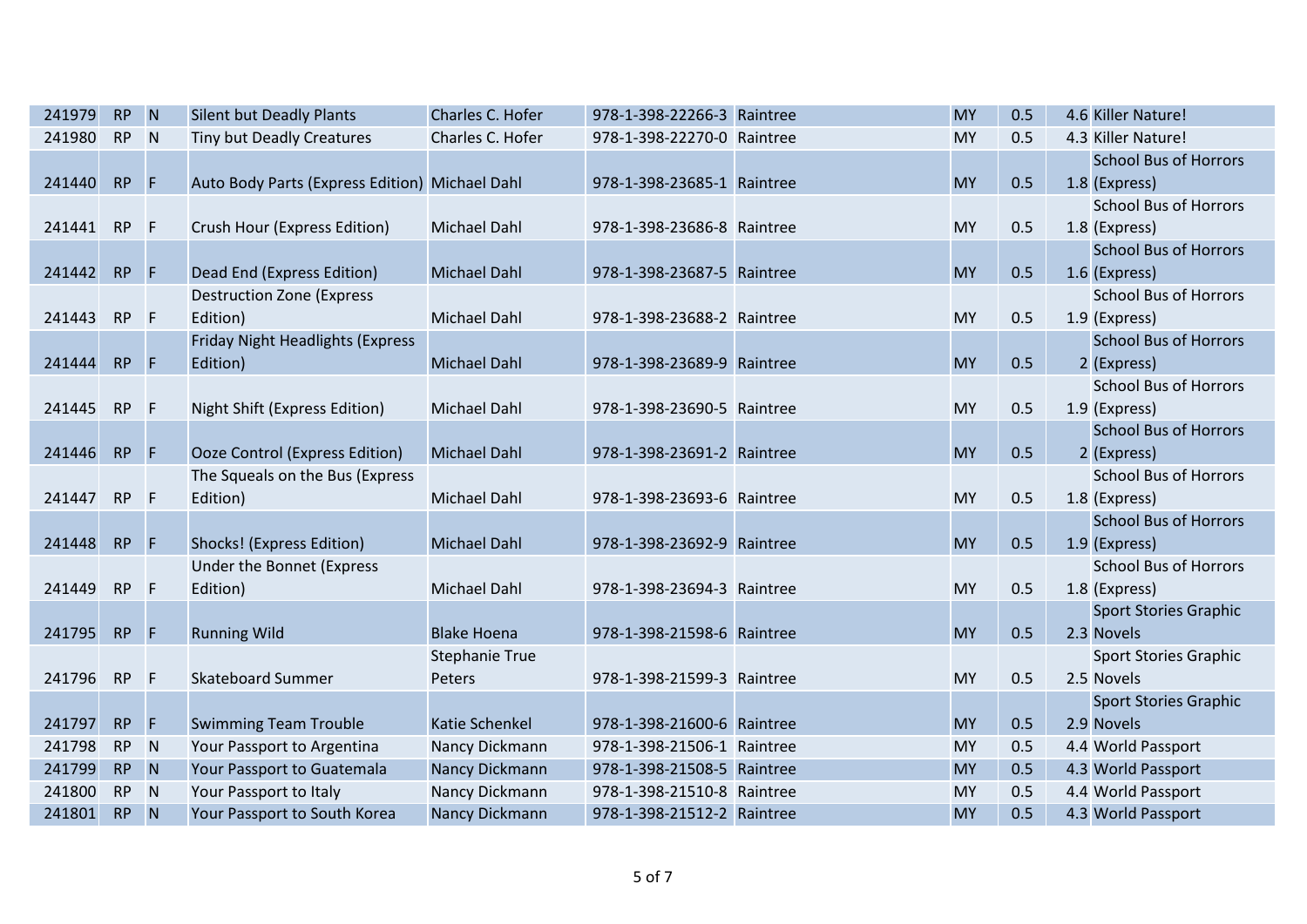| 241979 | <b>RP</b> | $\blacksquare$   | <b>Silent but Deadly Plants</b>                | Charles C. Hofer      | 978-1-398-22266-3 Raintree | <b>MY</b> | 0.5 | 4.6 Killer Nature!           |
|--------|-----------|------------------|------------------------------------------------|-----------------------|----------------------------|-----------|-----|------------------------------|
| 241980 | <b>RP</b> | N                | Tiny but Deadly Creatures                      | Charles C. Hofer      | 978-1-398-22270-0 Raintree | <b>MY</b> | 0.5 | 4.3 Killer Nature!           |
|        |           |                  |                                                |                       |                            |           |     | <b>School Bus of Horrors</b> |
| 241440 | <b>RP</b> | - IF             | Auto Body Parts (Express Edition) Michael Dahl |                       | 978-1-398-23685-1 Raintree | <b>MY</b> | 0.5 | 1.8 (Express)                |
|        |           |                  |                                                |                       |                            |           |     | <b>School Bus of Horrors</b> |
| 241441 | <b>RP</b> | $-F$             | Crush Hour (Express Edition)                   | <b>Michael Dahl</b>   | 978-1-398-23686-8 Raintree | <b>MY</b> | 0.5 | 1.8 (Express)                |
|        |           |                  |                                                |                       |                            |           |     | <b>School Bus of Horrors</b> |
| 241442 | RP        | $-$ F            | Dead End (Express Edition)                     | <b>Michael Dahl</b>   | 978-1-398-23687-5 Raintree | <b>MY</b> | 0.5 | 1.6 (Express)                |
|        |           |                  | <b>Destruction Zone (Express</b>               |                       |                            |           |     | <b>School Bus of Horrors</b> |
| 241443 | <b>RP</b> | $\mathsf{F}$     | Edition)                                       | <b>Michael Dahl</b>   | 978-1-398-23688-2 Raintree | MY        | 0.5 | 1.9 (Express)                |
|        |           |                  | <b>Friday Night Headlights (Express</b>        |                       |                            |           |     | <b>School Bus of Horrors</b> |
| 241444 | RP        | $\mathsf{F}$     | Edition)                                       | <b>Michael Dahl</b>   | 978-1-398-23689-9 Raintree | <b>MY</b> | 0.5 | 2 (Express)                  |
|        |           |                  |                                                |                       |                            |           |     | <b>School Bus of Horrors</b> |
| 241445 | <b>RP</b> | F                | Night Shift (Express Edition)                  | <b>Michael Dahl</b>   | 978-1-398-23690-5 Raintree | <b>MY</b> | 0.5 | 1.9 (Express)                |
|        |           |                  |                                                |                       |                            |           |     | <b>School Bus of Horrors</b> |
| 241446 | RP        | $\mathsf{F}$     | <b>Ooze Control (Express Edition)</b>          | <b>Michael Dahl</b>   | 978-1-398-23691-2 Raintree | <b>MY</b> | 0.5 | 2 (Express)                  |
|        |           |                  | The Squeals on the Bus (Express                |                       |                            |           |     | <b>School Bus of Horrors</b> |
| 241447 | <b>RP</b> | $\mathsf{F}$     | Edition)                                       | <b>Michael Dahl</b>   | 978-1-398-23693-6 Raintree | <b>MY</b> | 0.5 | 1.8 (Express)                |
|        |           |                  |                                                |                       |                            |           |     | <b>School Bus of Horrors</b> |
| 241448 | <b>RP</b> | $\mathsf{F}$     | Shocks! (Express Edition)                      | <b>Michael Dahl</b>   | 978-1-398-23692-9 Raintree | <b>MY</b> | 0.5 | 1.9 (Express)                |
|        |           |                  | Under the Bonnet (Express                      |                       |                            |           |     | <b>School Bus of Horrors</b> |
| 241449 | <b>RP</b> | $\mathsf{F}$     | Edition)                                       | <b>Michael Dahl</b>   | 978-1-398-23694-3 Raintree | <b>MY</b> | 0.5 | 1.8 (Express)                |
|        |           |                  |                                                |                       |                            |           |     | <b>Sport Stories Graphic</b> |
| 241795 | <b>RP</b> | - F              | <b>Running Wild</b>                            | <b>Blake Hoena</b>    | 978-1-398-21598-6 Raintree | <b>MY</b> | 0.5 | 2.3 Novels                   |
|        |           |                  |                                                | <b>Stephanie True</b> |                            |           |     | <b>Sport Stories Graphic</b> |
| 241796 | <b>RP</b> | $-F$             | <b>Skateboard Summer</b>                       | Peters                | 978-1-398-21599-3 Raintree | <b>MY</b> | 0.5 | 2.5 Novels                   |
|        |           |                  |                                                |                       |                            |           |     | <b>Sport Stories Graphic</b> |
| 241797 | <b>RP</b> | $\mathsf{F}$     | <b>Swimming Team Trouble</b>                   | <b>Katie Schenkel</b> | 978-1-398-21600-6 Raintree | <b>MY</b> | 0.5 | 2.9 Novels                   |
| 241798 | <b>RP</b> | N                | Your Passport to Argentina                     | Nancy Dickmann        | 978-1-398-21506-1 Raintree | <b>MY</b> | 0.5 | 4.4 World Passport           |
| 241799 | RP N      |                  | Your Passport to Guatemala                     | Nancy Dickmann        | 978-1-398-21508-5 Raintree | <b>MY</b> | 0.5 | 4.3 World Passport           |
| 241800 | <b>RP</b> | N                | Your Passport to Italy                         | Nancy Dickmann        | 978-1-398-21510-8 Raintree | MY        | 0.5 | 4.4 World Passport           |
| 241801 | <b>RP</b> | $\blacksquare$ N | Your Passport to South Korea                   | Nancy Dickmann        | 978-1-398-21512-2 Raintree | <b>MY</b> | 0.5 | 4.3 World Passport           |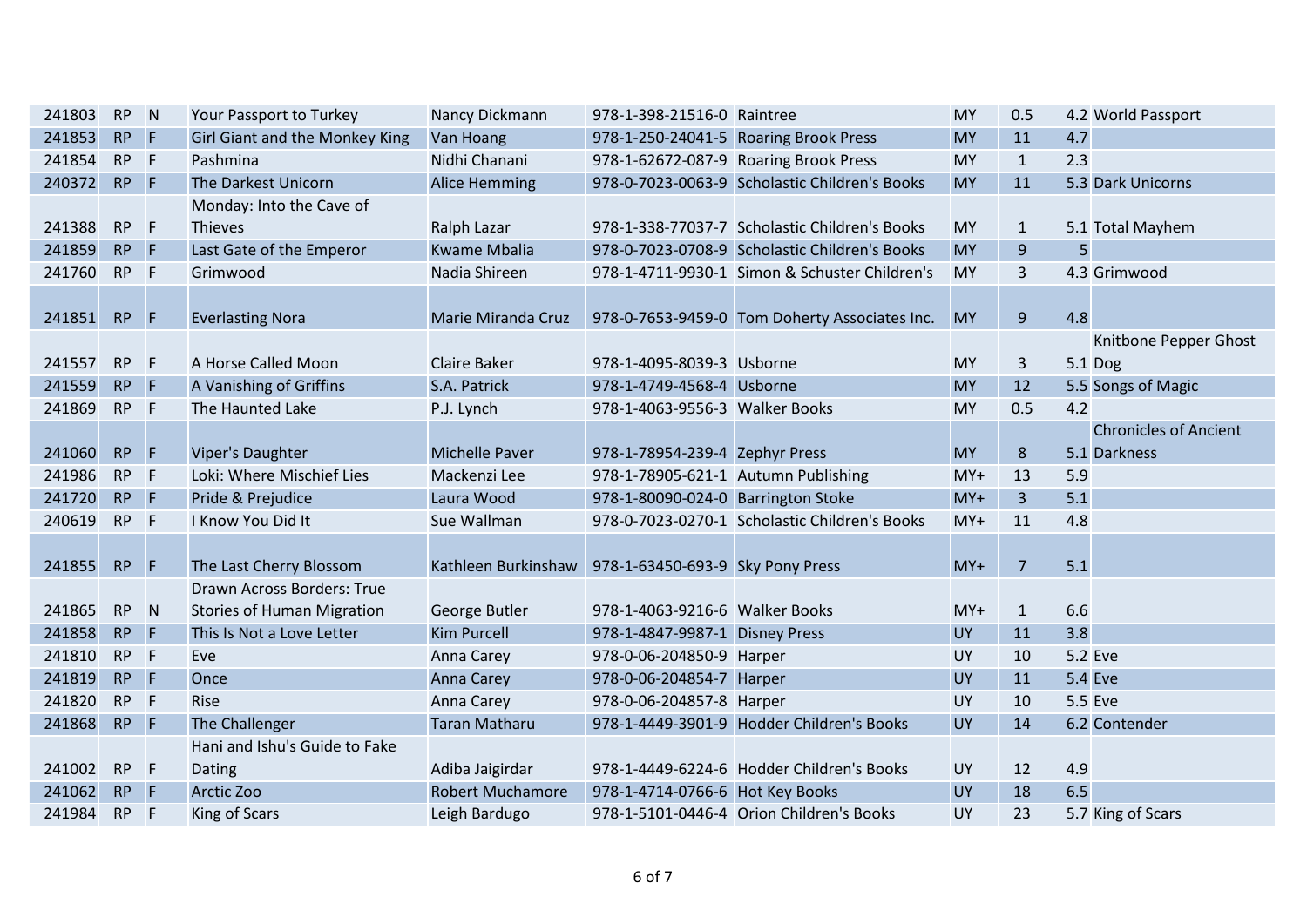| 241803 | <b>RP</b> | N              | Your Passport to Turkey           | Nancy Dickmann          | 978-1-398-21516-0 Raintree          |                                               | MY        | 0.5            | 4.2 World Passport           |
|--------|-----------|----------------|-----------------------------------|-------------------------|-------------------------------------|-----------------------------------------------|-----------|----------------|------------------------------|
| 241853 | <b>RP</b> | F              | Girl Giant and the Monkey King    | Van Hoang               |                                     | 978-1-250-24041-5 Roaring Brook Press         | <b>MY</b> | 11             | 4.7                          |
| 241854 | <b>RP</b> | F              | Pashmina                          | Nidhi Chanani           |                                     | 978-1-62672-087-9 Roaring Brook Press         | <b>MY</b> | $\mathbf{1}$   | 2.3                          |
| 240372 | RP F      |                | The Darkest Unicorn               | <b>Alice Hemming</b>    |                                     | 978-0-7023-0063-9 Scholastic Children's Books | <b>MY</b> | 11             | 5.3 Dark Unicorns            |
|        |           |                | Monday: Into the Cave of          |                         |                                     |                                               |           |                |                              |
| 241388 | <b>RP</b> | F              | <b>Thieves</b>                    | Ralph Lazar             |                                     | 978-1-338-77037-7 Scholastic Children's Books | <b>MY</b> | $\mathbf{1}$   | 5.1 Total Mayhem             |
| 241859 | <b>RP</b> | $\mathsf{F}$   | Last Gate of the Emperor          | <b>Kwame Mbalia</b>     |                                     | 978-0-7023-0708-9 Scholastic Children's Books | <b>MY</b> | 9              | 5                            |
| 241760 | <b>RP</b> | E              | Grimwood                          | Nadia Shireen           |                                     | 978-1-4711-9930-1 Simon & Schuster Children's | <b>MY</b> | $\overline{3}$ | 4.3 Grimwood                 |
|        |           |                |                                   |                         |                                     |                                               |           |                |                              |
| 241851 | <b>RP</b> | <b>F</b>       | <b>Everlasting Nora</b>           | Marie Miranda Cruz      |                                     | 978-0-7653-9459-0 Tom Doherty Associates Inc. | <b>MY</b> | $\overline{9}$ | 4.8                          |
|        |           |                |                                   |                         |                                     |                                               |           |                | Knitbone Pepper Ghost        |
| 241557 | <b>RP</b> | F              | A Horse Called Moon               | <b>Claire Baker</b>     | 978-1-4095-8039-3 Usborne           |                                               | <b>MY</b> | $\mathbf{3}$   | 5.1 Dog                      |
| 241559 | <b>RP</b> | $\mathsf{F}$   | A Vanishing of Griffins           | S.A. Patrick            | 978-1-4749-4568-4 Usborne           |                                               | <b>MY</b> | 12             | 5.5 Songs of Magic           |
| 241869 | <b>RP</b> | F              | The Haunted Lake                  | P.J. Lynch              | 978-1-4063-9556-3 Walker Books      |                                               | <b>MY</b> | 0.5            | 4.2                          |
|        |           |                |                                   |                         |                                     |                                               |           |                | <b>Chronicles of Ancient</b> |
| 241060 | <b>RP</b> | F              | Viper's Daughter                  | <b>Michelle Paver</b>   | 978-1-78954-239-4 Zephyr Press      |                                               | <b>MY</b> | 8              | 5.1 Darkness                 |
| 241986 | <b>RP</b> | F              | Loki: Where Mischief Lies         | Mackenzi Lee            | 978-1-78905-621-1 Autumn Publishing |                                               | $MY+$     | 13             | 5.9                          |
| 241720 | <b>RP</b> | F              | Pride & Prejudice                 | Laura Wood              | 978-1-80090-024-0 Barrington Stoke  |                                               | $MY+$     | $\overline{3}$ | 5.1                          |
| 240619 | <b>RP</b> | F              | I Know You Did It                 | Sue Wallman             |                                     | 978-0-7023-0270-1 Scholastic Children's Books | $MY+$     | 11             | 4.8                          |
|        |           |                |                                   |                         |                                     |                                               |           |                |                              |
| 241855 | <b>RP</b> | $\mathsf{F}$   | The Last Cherry Blossom           | Kathleen Burkinshaw     | 978-1-63450-693-9 Sky Pony Press    |                                               | $MY+$     | $\overline{7}$ | 5.1                          |
|        |           |                | Drawn Across Borders: True        |                         |                                     |                                               |           |                |                              |
| 241865 | <b>RP</b> | N              | <b>Stories of Human Migration</b> | George Butler           | 978-1-4063-9216-6 Walker Books      |                                               | $MY+$     | $\mathbf{1}$   | 6.6                          |
| 241858 | <b>RP</b> | E              | This Is Not a Love Letter         | <b>Kim Purcell</b>      | 978-1-4847-9987-1 Disney Press      |                                               | <b>UY</b> | 11             | 3.8                          |
| 241810 | <b>RP</b> | F              | Eve                               | Anna Carey              | 978-0-06-204850-9 Harper            |                                               | UY        | 10             | 5.2 Eve                      |
| 241819 | <b>RP</b> | $\mathsf{F}$   | Once                              | Anna Carey              | 978-0-06-204854-7 Harper            |                                               | <b>UY</b> | 11             | <b>5.4 Eve</b>               |
| 241820 | <b>RP</b> | $\mathsf{F}$   | Rise                              | Anna Carey              | 978-0-06-204857-8 Harper            |                                               | UY        | 10             | 5.5 Eve                      |
| 241868 | <b>RP</b> | $\overline{F}$ | The Challenger                    | <b>Taran Matharu</b>    |                                     | 978-1-4449-3901-9 Hodder Children's Books     | <b>UY</b> | 14             | 6.2 Contender                |
|        |           |                | Hani and Ishu's Guide to Fake     |                         |                                     |                                               |           |                |                              |
| 241002 | <b>RP</b> | F              | Dating                            | Adiba Jaigirdar         |                                     | 978-1-4449-6224-6 Hodder Children's Books     | <b>UY</b> | 12             | 4.9                          |
| 241062 | <b>RP</b> | F              | Arctic Zoo                        | <b>Robert Muchamore</b> | 978-1-4714-0766-6 Hot Key Books     |                                               | <b>UY</b> | 18             | 6.5                          |
| 241984 | <b>RP</b> | F              | King of Scars                     | Leigh Bardugo           |                                     | 978-1-5101-0446-4 Orion Children's Books      | <b>UY</b> | 23             | 5.7 King of Scars            |